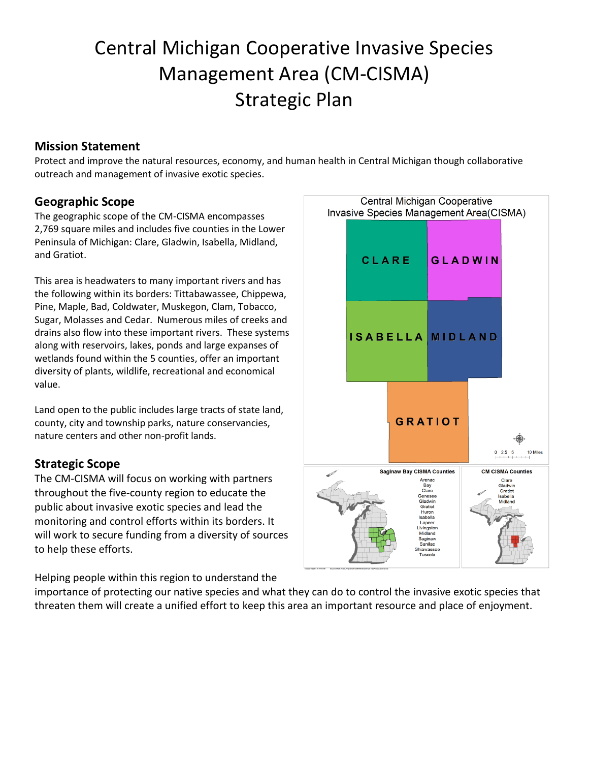# Central Michigan Cooperative Invasive Species Management Area (CM-CISMA) Strategic Plan

# **Mission Statement**

Protect and improve the natural resources, economy, and human health in Central Michigan though collaborative outreach and management of invasive exotic species.

# **Geographic Scope**

The geographic scope of the CM-CISMA encompasses 2,769 square miles and includes five counties in the Lower Peninsula of Michigan: Clare, Gladwin, Isabella, Midland, and Gratiot.

This area is headwaters to many important rivers and has the following within its borders: Tittabawassee, Chippewa, Pine, Maple, Bad, Coldwater, Muskegon, Clam, Tobacco, Sugar, Molasses and Cedar. Numerous miles of creeks and drains also flow into these important rivers. These systems along with reservoirs, lakes, ponds and large expanses of wetlands found within the 5 counties, offer an important diversity of plants, wildlife, recreational and economical value.

Land open to the public includes large tracts of state land, county, city and township parks, nature conservancies, nature centers and other non-profit lands.

# **Strategic Scope**

The CM-CISMA will focus on working with partners throughout the five-county region to educate the public about invasive exotic species and lead the monitoring and control efforts within its borders. It will work to secure funding from a diversity of sources to help these efforts.

Helping people within this region to understand the

importance of protecting our native species and what they can do to control the invasive exotic species that threaten them will create a unified effort to keep this area an important resource and place of enjoyment.

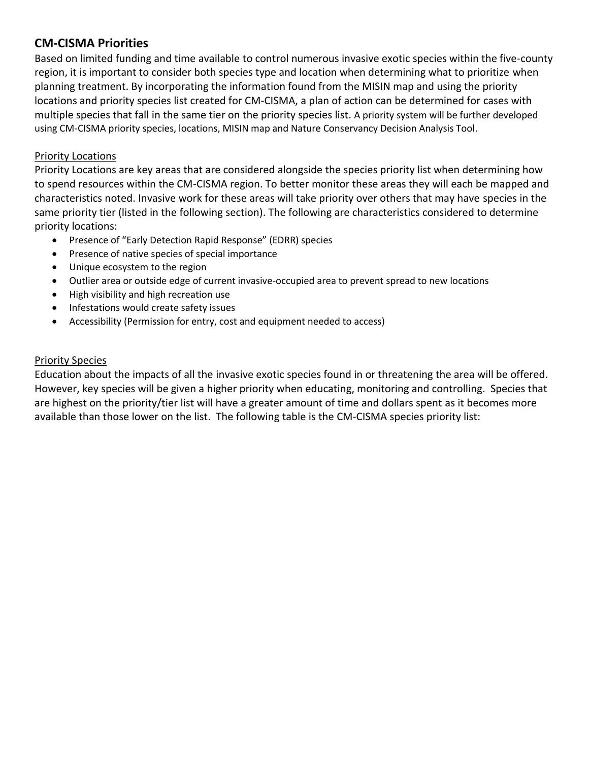# **CM-CISMA Priorities**

Based on limited funding and time available to control numerous invasive exotic species within the five-county region, it is important to consider both species type and location when determining what to prioritize when planning treatment. By incorporating the information found from the MISIN map and using the priority locations and priority species list created for CM-CISMA, a plan of action can be determined for cases with multiple species that fall in the same tier on the priority species list. A priority system will be further developed using CM-CISMA priority species, locations, MISIN map and Nature Conservancy Decision Analysis Tool.

## Priority Locations

Priority Locations are key areas that are considered alongside the species priority list when determining how to spend resources within the CM-CISMA region. To better monitor these areas they will each be mapped and characteristics noted. Invasive work for these areas will take priority over others that may have species in the same priority tier (listed in the following section). The following are characteristics considered to determine priority locations:

- Presence of "Early Detection Rapid Response" (EDRR) species
- Presence of native species of special importance
- Unique ecosystem to the region
- Outlier area or outside edge of current invasive-occupied area to prevent spread to new locations
- High visibility and high recreation use
- Infestations would create safety issues
- Accessibility (Permission for entry, cost and equipment needed to access)

### Priority Species

Education about the impacts of all the invasive exotic species found in or threatening the area will be offered. However, key species will be given a higher priority when educating, monitoring and controlling. Species that are highest on the priority/tier list will have a greater amount of time and dollars spent as it becomes more available than those lower on the list. The following table is the CM-CISMA species priority list: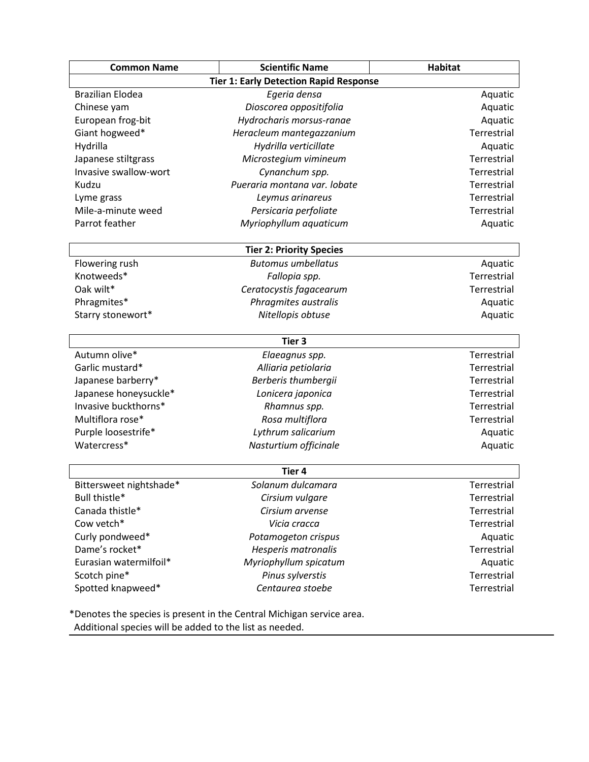| <b>Common Name</b>      | <b>Scientific Name</b>                        | <b>Habitat</b> |
|-------------------------|-----------------------------------------------|----------------|
|                         | <b>Tier 1: Early Detection Rapid Response</b> |                |
| <b>Brazilian Elodea</b> | Egeria densa                                  | Aquatic        |
| Chinese yam             | Dioscorea oppositifolia                       | Aquatic        |
| European frog-bit       | Hydrocharis morsus-ranae                      | Aquatic        |
| Giant hogweed*          | Heracleum mantegazzanium                      | Terrestrial    |
| Hydrilla                | Hydrilla verticillate                         | Aquatic        |
| Japanese stiltgrass     | Microstegium vimineum                         | Terrestrial    |
| Invasive swallow-wort   | Cynanchum spp.                                | Terrestrial    |
| Kudzu                   | Pueraria montana var. lobate                  | Terrestrial    |
| Lyme grass              | Leymus arinareus                              | Terrestrial    |
| Mile-a-minute weed      | Persicaria perfoliate                         | Terrestrial    |
| Parrot feather          | Myriophyllum aquaticum                        | Aquatic        |
|                         | <b>Tier 2: Priority Species</b>               |                |
| Flowering rush          | <b>Butomus umbellatus</b>                     | Aquatic        |
| Knotweeds*              | Fallopia spp.                                 | Terrestrial    |
| Oak wilt*               | Ceratocystis fagacearum                       | Terrestrial    |
| Phragmites*             | Phragmites australis                          | Aquatic        |
| Starry stonewort*       | Nitellopis obtuse                             | Aquatic        |
|                         | Tier <sub>3</sub>                             |                |
| Autumn olive*           | Elaeagnus spp.                                | Terrestrial    |
| Garlic mustard*         | Alliaria petiolaria                           | Terrestrial    |
| Japanese barberry*      | Berberis thumbergii                           | Terrestrial    |
| Japanese honeysuckle*   | Lonicera japonica                             | Terrestrial    |
| Invasive buckthorns*    | Rhamnus spp.                                  | Terrestrial    |
| Multiflora rose*        | Rosa multiflora                               | Terrestrial    |
| Purple loosestrife*     | Lythrum salicarium                            | Aquatic        |
| Watercress*             | Nasturtium officinale                         | Aquatic        |
|                         | Tier <sub>4</sub>                             |                |
| Bittersweet nightshade* | Solanum dulcamara                             | Terrestrial    |
| Bull thistle*           | Cirsium vulgare                               | Terrestrial    |
| Canada thistle*         | Cirsium arvense                               | Terrestrial    |
| Cow vetch*              | Vicia cracca                                  | Terrestrial    |
| Curly pondweed*         | Potamogeton crispus                           | Aquatic        |
| Dame's rocket*          | Hesperis matronalis                           | Terrestrial    |
| Eurasian watermilfoil*  | Myriophyllum spicatum                         | Aquatic        |
| Scotch pine*            | Pinus sylverstis                              | Terrestrial    |
| Spotted knapweed*       | Centaurea stoebe                              | Terrestrial    |

Additional species will be added to the list as needed.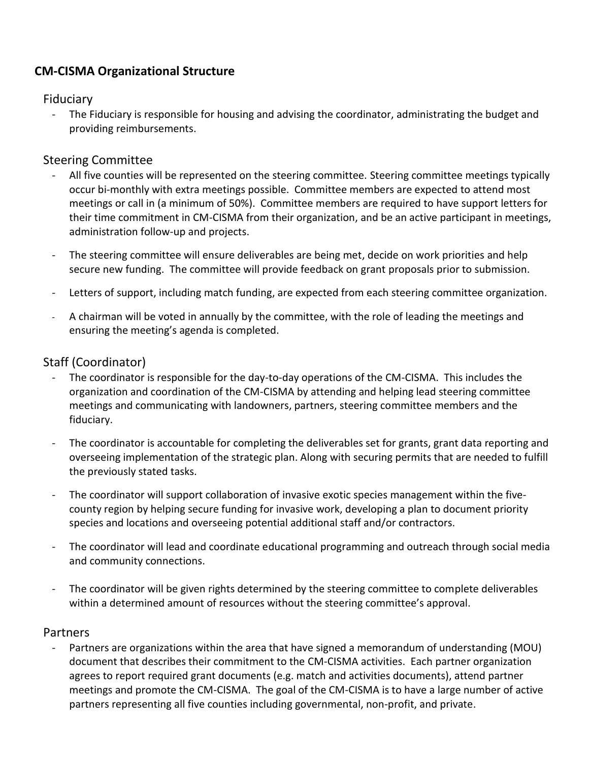# **CM-CISMA Organizational Structure**

## Fiduciary

- The Fiduciary is responsible for housing and advising the coordinator, administrating the budget and providing reimbursements.

# Steering Committee

- All five counties will be represented on the steering committee. Steering committee meetings typically occur bi-monthly with extra meetings possible. Committee members are expected to attend most meetings or call in (a minimum of 50%). Committee members are required to have support letters for their time commitment in CM-CISMA from their organization, and be an active participant in meetings, administration follow-up and projects.
- The steering committee will ensure deliverables are being met, decide on work priorities and help secure new funding. The committee will provide feedback on grant proposals prior to submission.
- Letters of support, including match funding, are expected from each steering committee organization.
- A chairman will be voted in annually by the committee, with the role of leading the meetings and ensuring the meeting's agenda is completed.

# Staff (Coordinator)

- The coordinator is responsible for the day-to-day operations of the CM-CISMA. This includes the organization and coordination of the CM-CISMA by attending and helping lead steering committee meetings and communicating with landowners, partners, steering committee members and the fiduciary.
- The coordinator is accountable for completing the deliverables set for grants, grant data reporting and overseeing implementation of the strategic plan. Along with securing permits that are needed to fulfill the previously stated tasks.
- The coordinator will support collaboration of invasive exotic species management within the fivecounty region by helping secure funding for invasive work, developing a plan to document priority species and locations and overseeing potential additional staff and/or contractors.
- The coordinator will lead and coordinate educational programming and outreach through social media and community connections.
- The coordinator will be given rights determined by the steering committee to complete deliverables within a determined amount of resources without the steering committee's approval.

## Partners

Partners are organizations within the area that have signed a memorandum of understanding (MOU) document that describes their commitment to the CM-CISMA activities. Each partner organization agrees to report required grant documents (e.g. match and activities documents), attend partner meetings and promote the CM-CISMA. The goal of the CM-CISMA is to have a large number of active partners representing all five counties including governmental, non-profit, and private.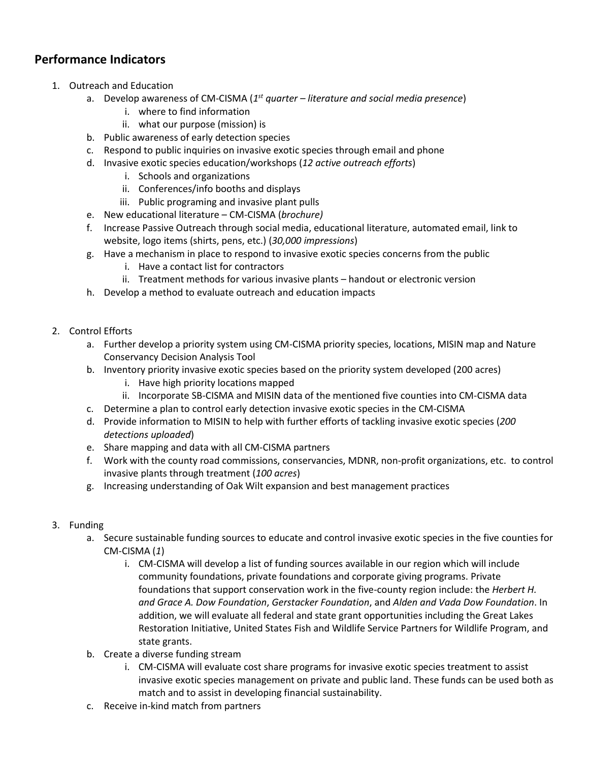# **Performance Indicators**

- 1. Outreach and Education
	- a. Develop awareness of CM-CISMA (*1 st quarter – literature and social media presence*)
		- i. where to find information
		- ii. what our purpose (mission) is
	- b. Public awareness of early detection species
	- c. Respond to public inquiries on invasive exotic species through email and phone
	- d. Invasive exotic species education/workshops (*12 active outreach efforts*)
		- i. Schools and organizations
		- ii. Conferences/info booths and displays
		- iii. Public programing and invasive plant pulls
	- e. New educational literature CM-CISMA (*brochure)*
	- f. Increase Passive Outreach through social media, educational literature, automated email, link to website, logo items (shirts, pens, etc.) (*30,000 impressions*)
	- g. Have a mechanism in place to respond to invasive exotic species concerns from the public
		- i. Have a contact list for contractors
		- ii. Treatment methods for various invasive plants handout or electronic version
	- h. Develop a method to evaluate outreach and education impacts
- 2. Control Efforts
	- a. Further develop a priority system using CM-CISMA priority species, locations, MISIN map and Nature Conservancy Decision Analysis Tool
	- b. Inventory priority invasive exotic species based on the priority system developed (200 acres)
		- i. Have high priority locations mapped
		- ii. Incorporate SB-CISMA and MISIN data of the mentioned five counties into CM-CISMA data
	- c. Determine a plan to control early detection invasive exotic species in the CM-CISMA
	- d. Provide information to MISIN to help with further efforts of tackling invasive exotic species (*200 detections uploaded*)
	- e. Share mapping and data with all CM-CISMA partners
	- f. Work with the county road commissions, conservancies, MDNR, non-profit organizations, etc. to control invasive plants through treatment (*100 acres*)
	- g. Increasing understanding of Oak Wilt expansion and best management practices

### 3. Funding

- a. Secure sustainable funding sources to educate and control invasive exotic species in the five counties for CM-CISMA (*1*)
	- i. CM-CISMA will develop a list of funding sources available in our region which will include community foundations, private foundations and corporate giving programs. Private foundations that support conservation work in the five-county region include: the *Herbert H. and Grace A. Dow Foundation*, *Gerstacker Foundation*, and *Alden and Vada Dow Foundation*. In addition, we will evaluate all federal and state grant opportunities including the Great Lakes Restoration Initiative, United States Fish and Wildlife Service Partners for Wildlife Program, and state grants.
- b. Create a diverse funding stream
	- i. CM-CISMA will evaluate cost share programs for invasive exotic species treatment to assist invasive exotic species management on private and public land. These funds can be used both as match and to assist in developing financial sustainability.
- c. Receive in-kind match from partners